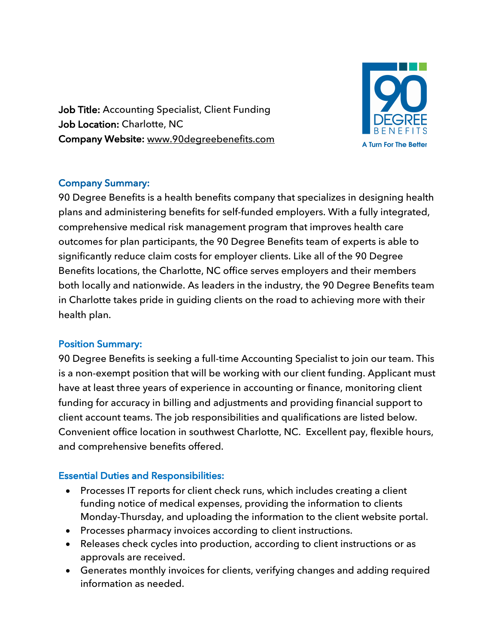Job Title: Accounting Specialist, Client Funding Job Location: Charlotte, NC Company Website: www.90degreebenefits.com



## Company Summary:

90 Degree Benefits is a health benefits company that specializes in designing health plans and administering benefits for self-funded employers. With a fully integrated, comprehensive medical risk management program that improves health care outcomes for plan participants, the 90 Degree Benefits team of experts is able to significantly reduce claim costs for employer clients. Like all of the 90 Degree Benefits locations, the Charlotte, NC office serves employers and their members both locally and nationwide. As leaders in the industry, the 90 Degree Benefits team in Charlotte takes pride in guiding clients on the road to achieving more with their health plan.

## Position Summary:

90 Degree Benefits is seeking a full-time Accounting Specialist to join our team. This is a non-exempt position that will be working with our client funding. Applicant must have at least three years of experience in accounting or finance, monitoring client funding for accuracy in billing and adjustments and providing financial support to client account teams. The job responsibilities and qualifications are listed below. Convenient office location in southwest Charlotte, NC. Excellent pay, flexible hours, and comprehensive benefits offered.

## Essential Duties and Responsibilities:

- Processes IT reports for client check runs, which includes creating a client funding notice of medical expenses, providing the information to clients Monday-Thursday, and uploading the information to the client website portal.
- Processes pharmacy invoices according to client instructions.
- Releases check cycles into production, according to client instructions or as approvals are received.
- Generates monthly invoices for clients, verifying changes and adding required information as needed.